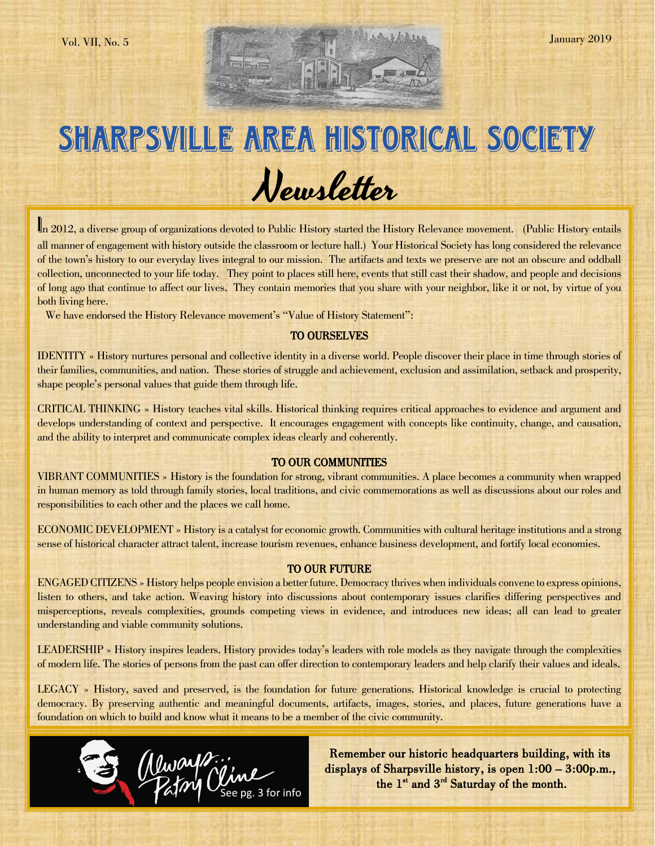# SHARPSVILLE AREA HISTORICAL SOCIETY Newsletter

In 2012, a diverse group of organizations devoted to Public History started the History Relevance movement. (Public History entails all manner of engagement with history outside the classroom or lecture hall.) Your Historical Society has long considered the relevance of the town's history to our everyday lives integral to our mission. The artifacts and texts we preserve are not an obscure and oddball collection, unconnected to your life today. They point to places still here, events that still cast their shadow, and people and decisions of long ago that continue to affect our lives. They contain memories that you share with your neighbor, like it or not, by virtue of you both living here.

We have endorsed the History Relevance movement's "Value of History Statement":

### TO OURSELVES

IDENTITY » History nurtures personal and collective identity in a diverse world. People discover their place in time through stories of their families, communities, and nation. These stories of struggle and achievement, exclusion and assimilation, setback and prosperity, shape people's personal values that guide them through life.

CRITICAL THINKING » History teaches vital skills. Historical thinking requires critical approaches to evidence and argument and develops understanding of context and perspective. It encourages engagement with concepts like continuity, change, and causation, and the ability to interpret and communicate complex ideas clearly and coherently.

### TO OUR COMMUNITIES

VIBRANT COMMUNITIES » History is the foundation for strong, vibrant communities. A place becomes a community when wrapped in human memory as told through family stories, local traditions, and civic commemorations as well as discussions about our roles and responsibilities to each other and the places we call home.

ECONOMIC DEVELOPMENT » History is a catalyst for economic growth. Communities with cultural heritage institutions and a strong sense of historical character attract talent, increase tourism revenues, enhance business development, and fortify local economies.

#### TO OUR FUTURE

ENGAGED CITIZENS » History helps people envision a better future. Democracy thrives when individuals convene to express opinions, listen to others, and take action. Weaving history into discussions about contemporary issues clarifies differing perspectives and misperceptions, reveals complexities, grounds competing views in evidence, and introduces new ideas; all can lead to greater understanding and viable community solutions.

LEADERSHIP » History inspires leaders. History provides today's leaders with role models as they navigate through the complexities of modern life. The stories of persons from the past can offer direction to contemporary leaders and help clarify their values and ideals.

LEGACY » History, saved and preserved, is the foundation for future generations. Historical knowledge is crucial to protecting democracy. By preserving authentic and meaningful documents, artifacts, images, stories, and places, future generations have a foundation on which to build and know what it means to be a member of the civic community.



Remember our historic headquarters building, with its displays of Sharpsville history, is open 1:00 – 3:00p.m., the 1<sup>st</sup> and 3<sup>rd</sup> Saturday of the month.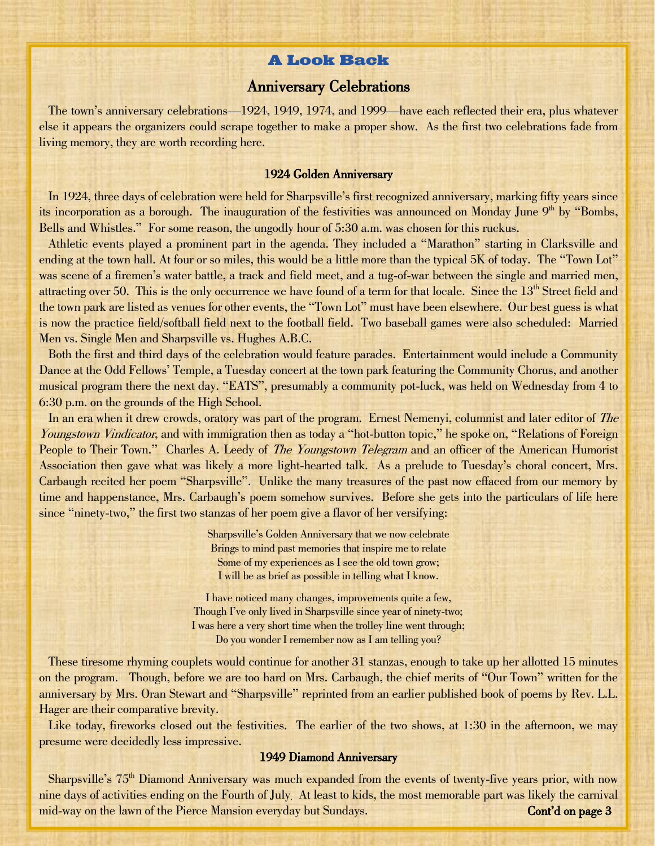# **A Look Back**

# Anniversary Celebrations

 The town's anniversary celebrations—1924, 1949, 1974, and 1999—have each reflected their era, plus whatever else it appears the organizers could scrape together to make a proper show. As the first two celebrations fade from living memory, they are worth recording here.

### 1924 Golden Anniversary

 In 1924, three days of celebration were held for Sharpsville's first recognized anniversary, marking fifty years since its incorporation as a borough. The inauguration of the festivities was announced on Monday June 9<sup>th</sup> by "Bombs, Bells and Whistles." For some reason, the ungodly hour of 5:30 a.m. was chosen for this ruckus.

 Athletic events played a prominent part in the agenda. They included a "Marathon" starting in Clarksville and ending at the town hall. At four or so miles, this would be a little more than the typical 5K of today. The "Town Lot" was scene of a firemen's water battle, a track and field meet, and a tug-of-war between the single and married men, attracting over 50. This is the only occurrence we have found of a term for that locale. Since the 13<sup>th</sup> Street field and the town park are listed as venues for other events, the "Town Lot" must have been elsewhere. Our best guess is what is now the practice field/softball field next to the football field. Two baseball games were also scheduled: Married Men vs. Single Men and Sharpsville vs. Hughes A.B.C.

 Both the first and third days of the celebration would feature parades. Entertainment would include a Community Dance at the Odd Fellows' Temple, a Tuesday concert at the town park featuring the Community Chorus, and another musical program there the next day. "EATS", presumably a community pot-luck, was held on Wednesday from 4 to 6:30 p.m. on the grounds of the High School.

In an era when it drew crowds, oratory was part of the program. Ernest Nemenyi, columnist and later editor of The Youngstown Vindicator, and with immigration then as today a "hot-button topic," he spoke on, "Relations of Foreign People to Their Town." Charles A. Leedy of *The Youngstown Telegram* and an officer of the American Humorist Association then gave what was likely a more light-hearted talk. As a prelude to Tuesday's choral concert, Mrs. Carbaugh recited her poem "Sharpsville". Unlike the many treasures of the past now effaced from our memory by time and happenstance, Mrs. Carbaugh's poem somehow survives. Before she gets into the particulars of life here since "ninety-two," the first two stanzas of her poem give a flavor of her versifying:

> Sharpsville's Golden Anniversary that we now celebrate Brings to mind past memories that inspire me to relate Some of my experiences as I see the old town grow; I will be as brief as possible in telling what I know.

I have noticed many changes, improvements quite a few, Though I've only lived in Sharpsville since year of ninety-two; I was here a very short time when the trolley line went through; Do you wonder I remember now as I am telling you?

 These tiresome rhyming couplets would continue for another 31 stanzas, enough to take up her allotted 15 minutes on the program. Though, before we are too hard on Mrs. Carbaugh, the chief merits of "Our Town" written for the anniversary by Mrs. Oran Stewart and "Sharpsville" reprinted from an earlier published book of poems by Rev. L.L. Hager are their comparative brevity.

Like today, fireworks closed out the festivities. The earlier of the two shows, at 1:30 in the afternoon, we may presume were decidedly less impressive.

### 1949 Diamond Anniversary

Sharpsville's  $75<sup>th</sup>$  Diamond Anniversary was much expanded from the events of twenty-five years prior, with now nine days of activities ending on the Fourth of July. At least to kids, the most memorable part was likely the carnival mid-way on the lawn of the Pierce Mansion everyday but Sundays. Cont'd on page 3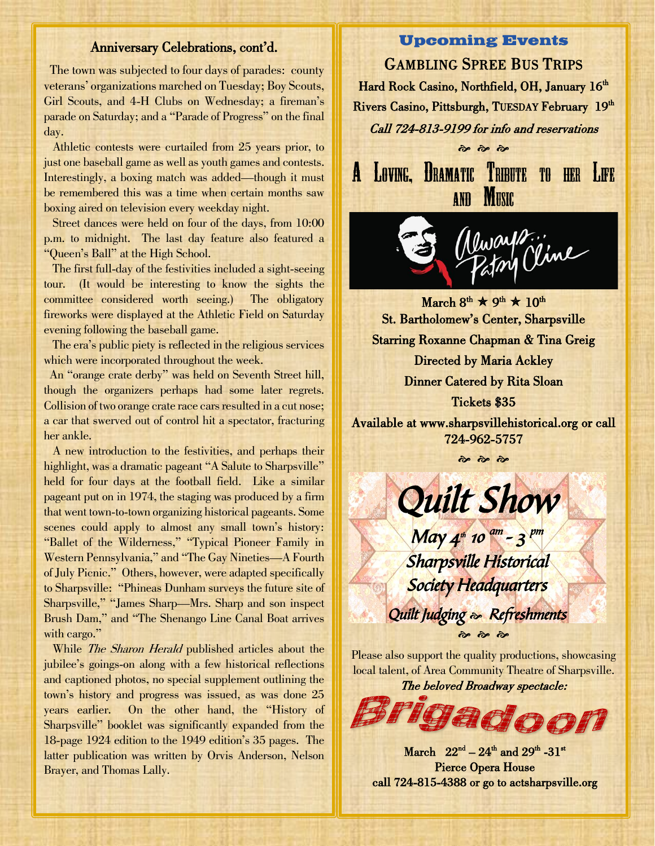### Anniversary Celebrations, cont'd.

 The town was subjected to four days of parades: county veterans' organizations marched on Tuesday; Boy Scouts, Girl Scouts, and 4-H Clubs on Wednesday; a fireman's parade on Saturday; and a "Parade of Progress" on the final day.

 Athletic contests were curtailed from 25 years prior, to just one baseball game as well as youth games and contests. Interestingly, a boxing match was added—though it must be remembered this was a time when certain months saw boxing aired on television every weekday night.

 Street dances were held on four of the days, from 10:00 p.m. to midnight. The last day feature also featured a "Queen's Ball" at the High School.

 The first full-day of the festivities included a sight-seeing tour. (It would be interesting to know the sights the committee considered worth seeing.) The obligatory fireworks were displayed at the Athletic Field on Saturday evening following the baseball game.

 The era's public piety is reflected in the religious services which were incorporated throughout the week.

 An "orange crate derby" was held on Seventh Street hill, though the organizers perhaps had some later regrets. Collision of two orange crate race cars resulted in a cut nose; a car that swerved out of control hit a spectator, fracturing her ankle.

 A new introduction to the festivities, and perhaps their highlight, was a dramatic pageant "A Salute to Sharpsville" held for four days at the football field. Like a similar pageant put on in 1974, the staging was produced by a firm that went town-to-town organizing historical pageants. Some scenes could apply to almost any small town's history: "Ballet of the Wilderness," "Typical Pioneer Family in Western Pennsylvania," and "The Gay Nineties—A Fourth of July Picnic." Others, however, were adapted specifically to Sharpsville: "Phineas Dunham surveys the future site of Sharpsville," "James Sharp—Mrs. Sharp and son inspect Brush Dam," and "The Shenango Line Canal Boat arrives with cargo."

While *The Sharon Herald* published articles about the jubilee's goings-on along with a few historical reflections and captioned photos, no special supplement outlining the town's history and progress was issued, as was done 25 years earlier. On the other hand, the "History of Sharpsville" booklet was significantly expanded from the 18-page 1924 edition to the 1949 edition's 35 pages. The latter publication was written by Orvis Anderson, Nelson Brayer, and Thomas Lally.

## **Upcoming Events**

GAMBLING SPREE BUS TRIPS Hard Rock Casino, Northfield, OH, January 16<sup>th</sup> Rivers Casino, Pittsburgh, TUESDAY February 19<sup>th</sup> Call 724-813-9199 for info and reservations

LOVING, DRAMATIC TRIBUTE TO HER LIFE  $\mathbf{A}$ MUSIC AND

 $\frac{1}{2}$   $\frac{1}{2}$   $\frac{1}{2}$ 



 $\text{March } 8^{\text{th}} \star 9^{\text{th}} \star 10^{\text{th}}$ i, St. Bartholomew's Center, Sharpsville Starring Roxanne Chapman & Tina Greig Directed by Maria Ackley Dinner Catered by Rita Sloan Tickets \$35

Available at [www.sharpsvillehistorical.org](http://www.sharpsvillehistorical.org/) or call 724-962-5757

 $\frac{1}{2}$   $\frac{1}{2}$   $\frac{1}{2}$ 

Quilt Show

 $May 4<sup>m</sup> 10<sup>am</sup> - 3<sup>pm</sup>$ 

Sharpsville Historical

Society Headquarters

 $6\,$   $6\,$   $6$ Please also support the quality productions, showcasing local talent, of Area Community Theatre of Sharpsville.

Quilt Judging  $\approx$  Refreshments

The beloved Broadway spectacle:



March  $22^{nd} - 24^{th}$  and  $29^{th}$  -31<sup>st</sup> Pierce Opera House call 724-815-4388 or go to actsharpsville.org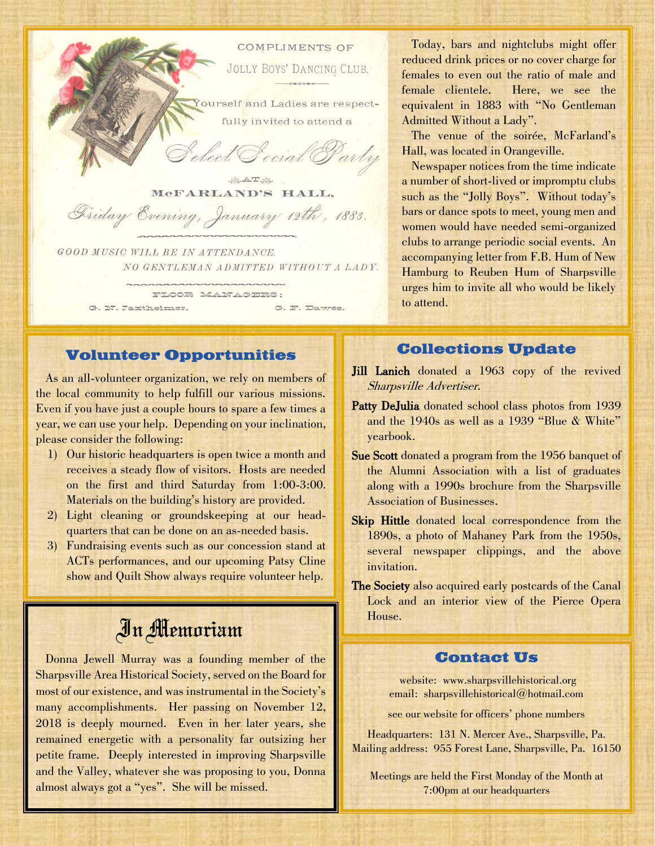

NO GENTLEMAN ADMITTED WITHOUT A LADY.

 $\cdots$ 

FLOOR MANAGERS: G. N. Jaxtheimer, G. F. Dawes.

**Volunteer Opportunities**

 As an all-volunteer organization, we rely on members of the local community to help fulfill our various missions. Even if you have just a couple hours to spare a few times a year, we can use your help. Depending on your inclination, please consider the following:

- 1) Our historic headquarters is open twice a month and receives a steady flow of visitors. Hosts are needed on the first and third Saturday from 1:00-3:00. Materials on the building's history are provided.
- 2) Light cleaning or groundskeeping at our headquarters that can be done on an as-needed basis.
- 3) Fundraising events such as our concession stand at ACTs performances, and our upcoming Patsy Cline show and Quilt Show always require volunteer help.

# In Memoriam

 Donna Jewell Murray was a founding member of the Sharpsville Area Historical Society, served on the Board for most of our existence, and was instrumental in the Society's many accomplishments. Her passing on November 12, 2018 is deeply mourned. Even in her later years, she remained energetic with a personality far outsizing her petite frame. Deeply interested in improving Sharpsville and the Valley, whatever she was proposing to you, Donna almost always got a "yes". She will be missed.

 Today, bars and nightclubs might offer reduced drink prices or no cover charge for females to even out the ratio of male and female clientele. Here, we see the equivalent in 1883 with "No Gentleman Admitted Without a Lady".

The venue of the soirée, McFarland's Hall, was located in Orangeville.

 Newspaper notices from the time indicate a number of short-lived or impromptu clubs such as the "Jolly Boys". Without today's bars or dance spots to meet, young men and women would have needed semi-organized clubs to arrange periodic social events. An accompanying letter from F.B. Hum of New Hamburg to Reuben Hum of Sharpsville urges him to invite all who would be likely to attend.

# **Collections Update**

- Jill Lanich donated a 1963 copy of the revived Sharpsville Advertiser.
- Patty DeJulia donated school class photos from 1939 and the 1940s as well as a 1939 "Blue & White" yearbook.
- Sue Scott donated a program from the 1956 banquet of the Alumni Association with a list of graduates along with a 1990s brochure from the Sharpsville Association of Businesses.
- Skip Hittle donated local correspondence from the 1890s, a photo of Mahaney Park from the 1950s, several newspaper clippings, and the above invitation.
- The Society also acquired early postcards of the Canal Lock and an interior view of the Pierce Opera House.

# **Contact Us**

website: www.sharpsvillehistorical.org email: sharpsvillehistorical@hotmail.com

see our website for officers' phone numbers

Headquarters: 131 N. Mercer Ave., Sharpsville, Pa. Mailing address: 955 Forest Lane, Sharpsville, Pa. 16150

Meetings are held the First Monday of the Month at 7:00pm at our headquarters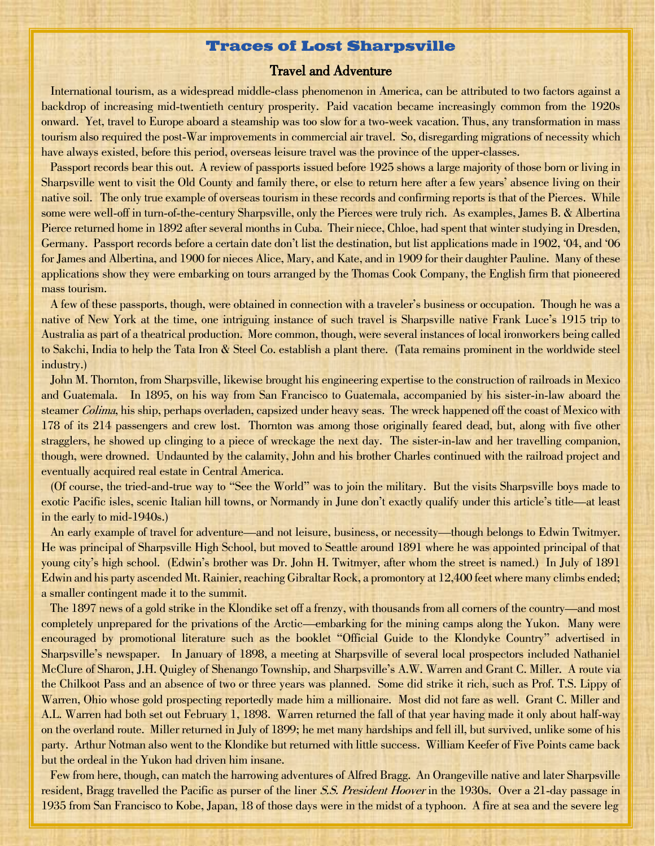### **Traces of Lost Sharpsville**

### Travel and Adventure

 International tourism, as a widespread middle-class phenomenon in America, can be attributed to two factors against a backdrop of increasing mid-twentieth century prosperity. Paid vacation became increasingly common from the 1920s onward. Yet, travel to Europe aboard a steamship was too slow for a two-week vacation. Thus, any transformation in mass tourism also required the post-War improvements in commercial air travel. So, disregarding migrations of necessity which have always existed, before this period, overseas leisure travel was the province of the upper-classes.

 Passport records bear this out. A review of passports issued before 1925 shows a large majority of those born or living in Sharpsville went to visit the Old County and family there, or else to return here after a few years' absence living on their native soil. The only true example of overseas tourism in these records and confirming reports is that of the Pierces. While some were well-off in turn-of-the-century Sharpsville, only the Pierces were truly rich. As examples, James B. & Albertina Pierce returned home in 1892 after several months in Cuba. Their niece, Chloe, had spent that winter studying in Dresden, Germany. Passport records before a certain date don't list the destination, but list applications made in 1902, '04, and '06 for James and Albertina, and 1900 for nieces Alice, Mary, and Kate, and in 1909 for their daughter Pauline. Many of these applications show they were embarking on tours arranged by the Thomas Cook Company, the English firm that pioneered mass tourism.

 A few of these passports, though, were obtained in connection with a traveler's business or occupation. Though he was a native of New York at the time, one intriguing instance of such travel is Sharpsville native Frank Luce's 1915 trip to Australia as part of a theatrical production. More common, though, were several instances of local ironworkers being called to Sakchi, India to help the Tata Iron & Steel Co. establish a plant there. (Tata remains prominent in the worldwide steel industry.)

 John M. Thornton, from Sharpsville, likewise brought his engineering expertise to the construction of railroads in Mexico and Guatemala. In 1895, on his way from San Francisco to Guatemala, accompanied by his sister-in-law aboard the steamer Colima, his ship, perhaps overladen, capsized under heavy seas. The wreck happened off the coast of Mexico with 178 of its 214 passengers and crew lost. Thornton was among those originally feared dead, but, along with five other stragglers, he showed up clinging to a piece of wreckage the next day. The sister-in-law and her travelling companion, though, were drowned. Undaunted by the calamity, John and his brother Charles continued with the railroad project and eventually acquired real estate in Central America.

 (Of course, the tried-and-true way to "See the World" was to join the military. But the visits Sharpsville boys made to exotic Pacific isles, scenic Italian hill towns, or Normandy in June don't exactly qualify under this article's title—at least in the early to mid-1940s.)

 An early example of travel for adventure—and not leisure, business, or necessity—though belongs to Edwin Twitmyer. He was principal of Sharpsville High School, but moved to Seattle around 1891 where he was appointed principal of that young city's high school. (Edwin's brother was Dr. John H. Twitmyer, after whom the street is named.) In July of 1891 Edwin and his party ascended Mt. Rainier, reaching Gibraltar Rock, a promontory at 12,400 feet where many climbs ended; a smaller contingent made it to the summit.

 The 1897 news of a gold strike in the Klondike set off a frenzy, with thousands from all corners of the country—and most completely unprepared for the privations of the Arctic—embarking for the mining camps along the Yukon. Many were encouraged by promotional literature such as the booklet "Official Guide to the Klondyke Country" advertised in Sharpsville's newspaper. In January of 1898, a meeting at Sharpsville of several local prospectors included Nathaniel McClure of Sharon, J.H. Quigley of Shenango Township, and Sharpsville's A.W. Warren and Grant C. Miller. A route via the Chilkoot Pass and an absence of two or three years was planned. Some did strike it rich, such as Prof. T.S. Lippy of Warren, Ohio whose gold prospecting reportedly made him a millionaire. Most did not fare as well. Grant C. Miller and A.L. Warren had both set out February 1, 1898. Warren returned the fall of that year having made it only about half-way on the overland route. Miller returned in July of 1899; he met many hardships and fell ill, but survived, unlike some of his party. Arthur Notman also went to the Klondike but returned with little success. William Keefer of Five Points came back but the ordeal in the Yukon had driven him insane.

 Few from here, though, can match the harrowing adventures of Alfred Bragg. An Orangeville native and later Sharpsville resident, Bragg travelled the Pacific as purser of the liner S.S. President Hoover in the 1930s. Over a 21-day passage in 1935 from San Francisco to Kobe, Japan, 18 of those days were in the midst of a typhoon. A fire at sea and the severe leg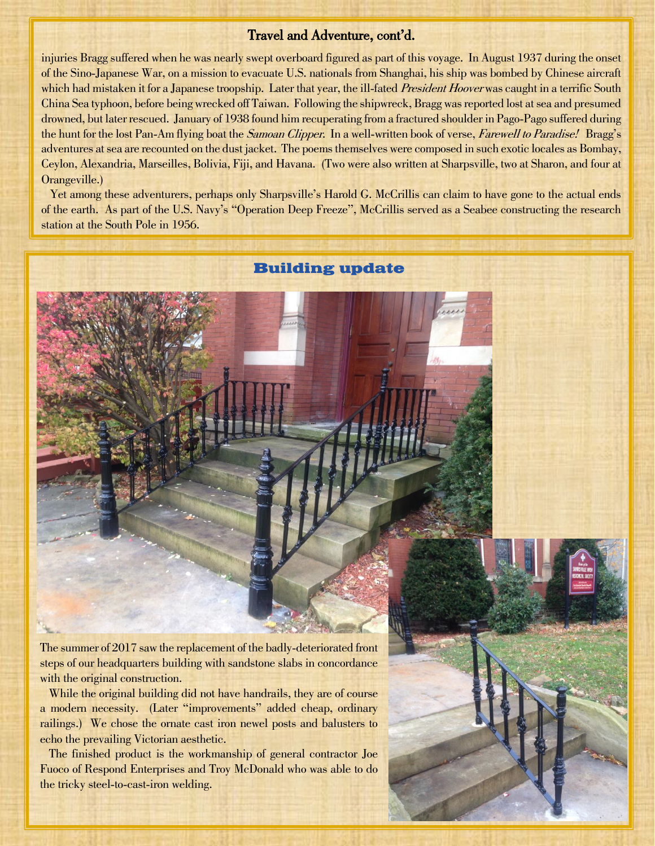## Travel and Adventure, cont'd.

injuries Bragg suffered when he was nearly swept overboard figured as part of this voyage. In August 1937 during the onset of the Sino-Japanese War, on a mission to evacuate U.S. nationals from Shanghai, his ship was bombed by Chinese aircraft which had mistaken it for a Japanese troopship. Later that year, the ill-fated *President Hoover* was caught in a terrific South China Sea typhoon, before being wrecked off Taiwan. Following the shipwreck, Bragg was reported lost at sea and presumed drowned, but later rescued. January of 1938 found him recuperating from a fractured shoulder in Pago-Pago suffered during the hunt for the lost Pan-Am flying boat the *Samoan Clipper*. In a well-written book of verse, *Farewell to Paradise!* Bragg's adventures at sea are recounted on the dust jacket. The poems themselves were composed in such exotic locales as Bombay, Ceylon, Alexandria, Marseilles, Bolivia, Fiji, and Havana. (Two were also written at Sharpsville, two at Sharon, and four at Orangeville.)

 Yet among these adventurers, perhaps only Sharpsville's Harold G. McCrillis can claim to have gone to the actual ends of the earth. As part of the U.S. Navy's "Operation Deep Freeze", McCrillis served as a Seabee constructing the research station at the South Pole in 1956.

# **Building update**



The summer of 2017 saw the replacement of the badly-deteriorated front steps of our headquarters building with sandstone slabs in concordance with the original construction.

While the original building did not have handrails, they are of course a modern necessity. (Later "improvements" added cheap, ordinary railings.) We chose the ornate cast iron newel posts and balusters to echo the prevailing Victorian aesthetic.

 The finished product is the workmanship of general contractor Joe Fuoco of Respond Enterprises and Troy McDonald who was able to do the tricky steel-to-cast-iron welding.